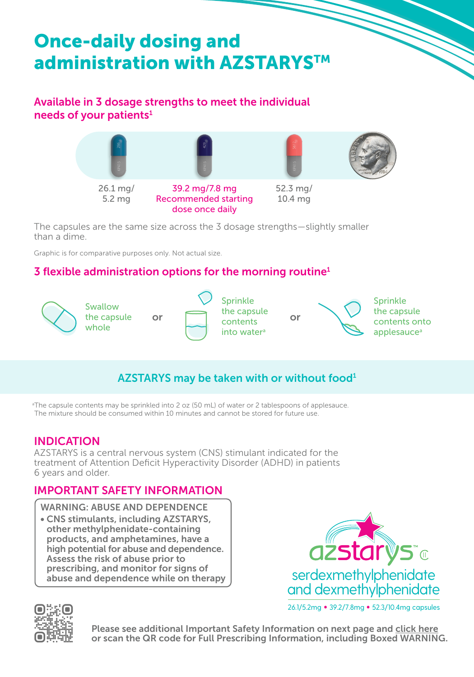# Once-daily dosing and administration with AZSTARYSTM

## Available in 3 dosage strengths to meet the individual needs of your patients<sup>1</sup>



The capsules are the same size across the 3 dosage strengths—slightly smaller than a dime.

Graphic is for comparative purposes only. Not actual size.

## 3 flexible administration options for the morning routine<sup>1</sup>



## AZSTARYS may be taken with or without food<sup>1</sup>

a The capsule contents may be sprinkled into 2 oz (50 mL) of water or 2 tablespoons of applesauce. The mixture should be consumed within 10 minutes and cannot be stored for future use.

### INDICATION

AZSTARYS is a central nervous system (CNS) stimulant indicated for the treatment of Attention Deficit Hyperactivity Disorder (ADHD) in patients 6 years and older.

### IMPORTANT SAFETY INFORMATION

WARNING: ABUSE AND DEPENDENCE

• CNS stimulants, including AZSTARYS, other methylphenidate-containing products, and amphetamines, have a high potential for abuse and dependence. Assess the risk of abuse prior to prescribing, and monitor for signs of abuse and dependence while on therapy



26.1/5.2mg • 39.2/7.8mg • 52.3/10.4mg capsules



Please see additional Important Safety Information on next page and [click here](https://www.corium.com/products/AZSTARYS/AZSTARYS_PI_ENGLISH_US.pdf) or scan the QR code for Full Prescribing Information, including Boxed WARNING.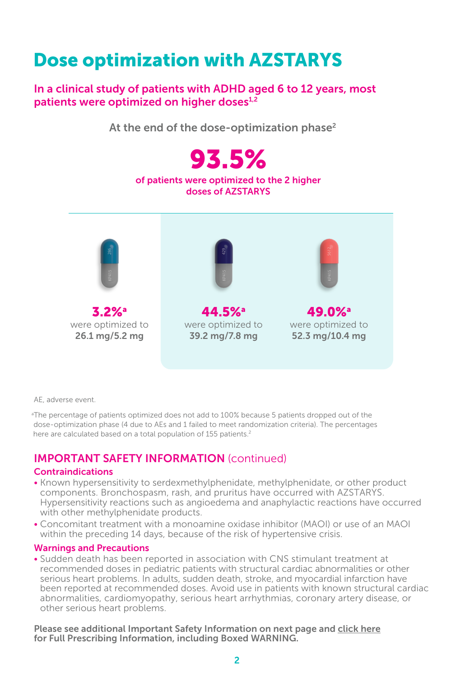## Dose optimization with AZSTARYS

In a clinical study of patients with ADHD aged 6 to 12 years, most patients were optimized on higher doses $1,2$ 

At the end of the dose-optimization phase<sup>2</sup>



AE, adverse event.

a The percentage of patients optimized does not add to 100% because 5 patients dropped out of the dose-optimization phase (4 due to AEs and 1 failed to meet randomization criteria). The percentages here are calculated based on a total population of 155 patients.<sup>2</sup>

## IMPORTANT SAFETY INFORMATION (continued)

#### Contraindications

- Known hypersensitivity to serdexmethylphenidate, methylphenidate, or other product components. Bronchospasm, rash, and pruritus have occurred with AZSTARYS. Hypersensitivity reactions such as angioedema and anaphylactic reactions have occurred with other methylphenidate products.
- Concomitant treatment with a monoamine oxidase inhibitor (MAOI) or use of an MAOI within the preceding 14 days, because of the risk of hypertensive crisis.

#### Warnings and Precautions

• Sudden death has been reported in association with CNS stimulant treatment at recommended doses in pediatric patients with structural cardiac abnormalities or other serious heart problems. In adults, sudden death, stroke, and myocardial infarction have been reported at recommended doses. Avoid use in patients with known structural cardiac abnormalities, cardiomyopathy, serious heart arrhythmias, coronary artery disease, or other serious heart problems.

Please see additional Important Safety Information on next page and [click here](https://www.corium.com/products/AZSTARYS/AZSTARYS_PI_ENGLISH_US.pdf) for Full Prescribing Information, including Boxed WARNING.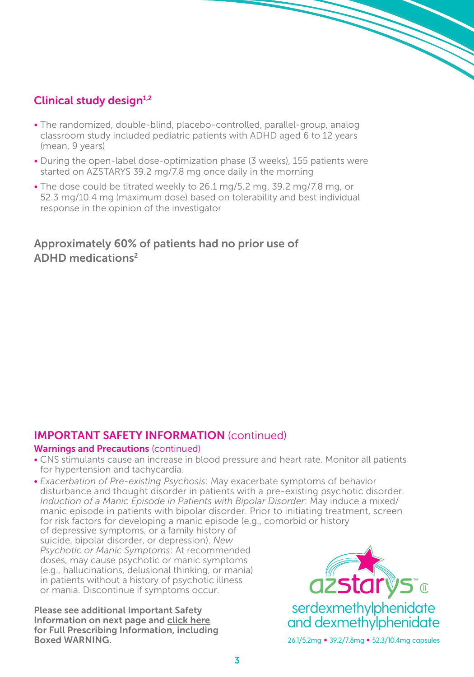## Clinical study design $1,2$

- The randomized, double-blind, placebo-controlled, parallel-group, analog classroom study included pediatric patients with ADHD aged 6 to 12 years (mean, 9 years)
- During the open-label dose-optimization phase (3 weeks), 155 patients were started on AZSTARYS 39.2 mg/7.8 mg once daily in the morning
- The dose could be titrated weekly to 26.1 mg/5.2 mg, 39.2 mg/7.8 mg, or 52.3 mg/10.4 mg (maximum dose) based on tolerability and best individual response in the opinion of the investigator

### Approximately 60% of patients had no prior use of ADHD medications2

## IMPORTANT SAFETY INFORMATION (continued)

#### **Warnings and Precautions (continued)**

- CNS stimulants cause an increase in blood pressure and heart rate. Monitor all patients for hypertension and tachycardia.
- *Exacerbation of Pre-existing Psychosis*: May exacerbate symptoms of behavior disturbance and thought disorder in patients with a pre-existing psychotic disorder. *Induction of a Manic Episode in Patients with Bipolar Disorder*: May induce a mixed/ manic episode in patients with bipolar disorder. Prior to initiating treatment, screen for risk factors for developing a manic episode (e.g., comorbid or history of depressive symptoms, or a family history of suicide, bipolar disorder, or depression). *New Psychotic or Manic Symptoms*: At recommended doses, may cause psychotic or manic symptoms (e.g., hallucinations, delusional thinking, or mania) in patients without a history of psychotic illness

Please see additional Important Safety Information on next page and [click here](https://www.corium.com/products/AZSTARYS/AZSTARYS_PI_ENGLISH_US.pdf) for Full Prescribing Information, including Boxed WARNING.

or mania. Discontinue if symptoms occur.

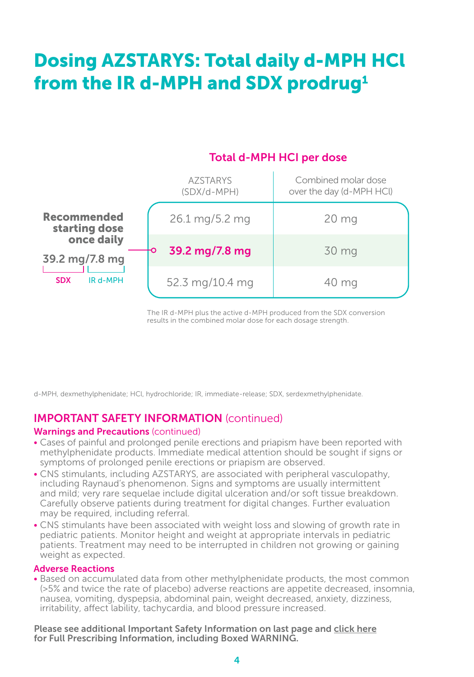# Dosing AZSTARYS: Total daily d-MPH HCl from the IR d-MPH and SDX prodrug<sup>1</sup>

## Total d-MPH HCI per dose

|                                                        | <b>AZSTARYS</b><br>$(SDX/d-MPH)$ | Combined molar dose<br>over the day (d-MPH HCl) |
|--------------------------------------------------------|----------------------------------|-------------------------------------------------|
| <b>Recommended</b><br>starting dose                    | 26.1 mg/5.2 mg                   | 20 <sub>mg</sub>                                |
| once daily<br>39.2 mg/7.8 mg<br>IR d-MPH<br><b>SDX</b> | 39.2 mg/7.8 mg                   | 30 mg                                           |
|                                                        | 52.3 mg/10.4 mg                  | 40 mg                                           |

The IR d-MPH plus the active d-MPH produced from the SDX conversion results in the combined molar dose for each dosage strength.

d-MPH, dexmethylphenidate; HCl, hydrochloride; IR, immediate-release; SDX, serdexmethylphenidate.

#### IMPORTANT SAFETY INFORMATION (continued)

#### Warnings and Precautions (continued)

- Cases of painful and prolonged penile erections and priapism have been reported with methylphenidate products. Immediate medical attention should be sought if signs or symptoms of prolonged penile erections or priapism are observed.
- CNS stimulants, including AZSTARYS, are associated with peripheral vasculopathy, including Raynaud's phenomenon. Signs and symptoms are usually intermittent and mild; very rare sequelae include digital ulceration and/or soft tissue breakdown. Carefully observe patients during treatment for digital changes. Further evaluation may be required, including referral.
- CNS stimulants have been associated with weight loss and slowing of growth rate in pediatric patients. Monitor height and weight at appropriate intervals in pediatric patients. Treatment may need to be interrupted in children not growing or gaining weight as expected.

#### Adverse Reactions

• Based on accumulated data from other methylphenidate products, the most common (>5% and twice the rate of placebo) adverse reactions are appetite decreased, insomnia, nausea, vomiting, dyspepsia, abdominal pain, weight decreased, anxiety, dizziness, irritability, affect lability, tachycardia, and blood pressure increased.

Please see additional Important Safety Information on last page and [click here](https://www.corium.com/products/AZSTARYS/AZSTARYS_PI_ENGLISH_US.pdf) for Full Prescribing Information, including Boxed WARNING.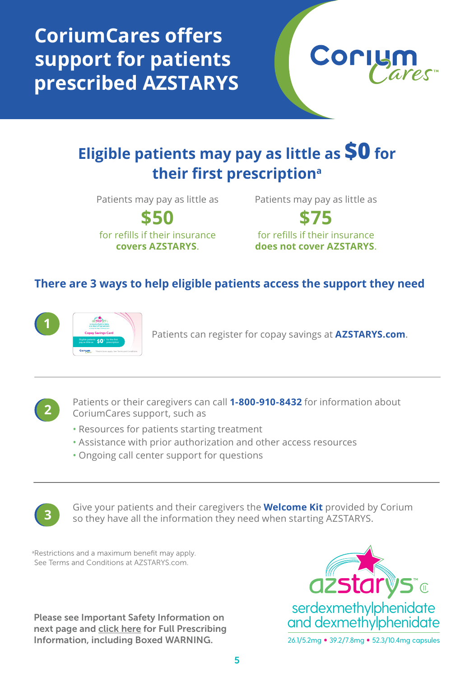**CoriumCares offers support for patients prescribed AZSTARYS**



## **Eligible patients may pay as little as \$0 for their first prescriptiona**

Patients may pay as little as

**\$50** for refills if their insurance **covers AZSTARYS**.

Patients may pay as little as

**\$75** for refills if their insurance **does not cover AZSTARYS**.

### **There are 3 ways to help eligible patients access the support they need**



Patients can register for copay savings at **AZSTARYS.com.** 

**2**

Patients or their caregivers can call **1-800-910-8432** for information about CoriumCares support, such as

- Resources for patients starting treatment
- Assistance with prior authorization and other access resources
- Ongoing call center support for questions



Give your patients and their caregivers the **Welcome Kit** provided by Corium so they have all the information they need when starting AZSTARYS.

a Restrictions and a maximum benefit may apply. See Terms and Conditions at AZSTARYS.com.

Please see Important Safety Information on next page and [click here](https://www.corium.com/products/AZSTARYS/AZSTARYS_PI_ENGLISH_US.pdf) for Full Prescribing Information, including Boxed WARNING.